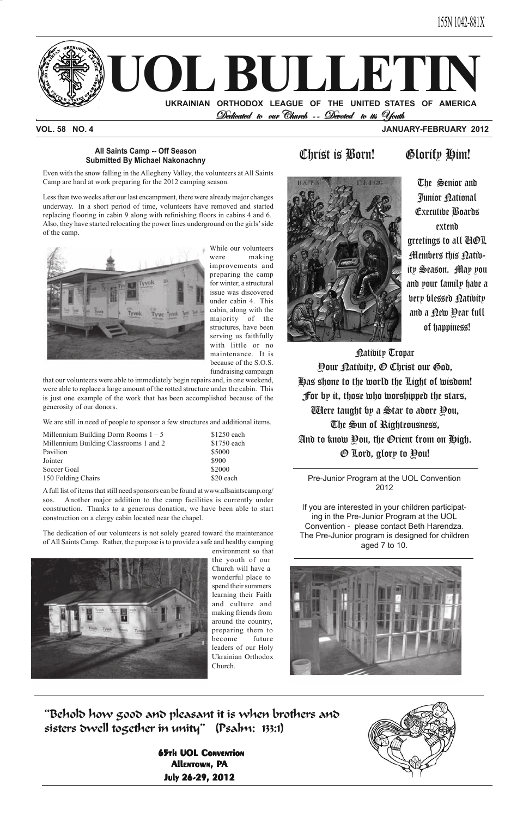

## **VOL. 58 NO. 4 JANUARY-FEBRUARY 2012**





Pre-Junior Program at the UOL Convention 2012

**65th UOL CONVENTION** Allentown, PA July 26-29, 2012



If you are interested in your children participating in the Pre-Junior Program at the UOL Convention - please contact Beth Harendza. The Pre-Junior program is designed for children aged 7 to 10.



"Behold how good and pleasant it is when brothers and sisters dwell together in unity" (Psalm: 133:1)

Even with the snow falling in the Allegheny Valley, the volunteers at All Saints Camp are hard at work preparing for the 2012 camping season.

Less than two weeks after our last encampment, there were already major changes underway. In a short period of time, volunteers have removed and started replacing flooring in cabin 9 along with refinishing floors in cabins 4 and 6. Also, they have started relocating the power lines underground on the girls' side of the camp.



While our volunteers were making improvements and preparing the camp for winter, a structural issue was discovered under cabin 4. This cabin, along with the majority of the structures, have been serving us faithfully with little or no maintenance. It is because of the S.O.S. fundraising campaign

### **All Saints Camp -- Off Season** All Saints Camp -- Off Season<br>Submitted By Michael Nakonachny<br>
Submitted By Michael Nakonachny

that our volunteers were able to immediately begin repairs and, in one weekend, were able to replace a large amount of the rotted structure under the cabin. This is just one example of the work that has been accomplished because of the generosity of our donors.

**Natibity Tropar** Your Nativity, O Christ our God, Has shone to the world the Light of wisdom! For by it, those who worshipped the stars, Were taught by a Star to adore You, The Sun of Righteousness, And to know You, the Orient from on High. O Lord, glory to You!

We are still in need of people to sponsor a few structures and additional items.

| Millennium Building Dorm Rooms $1 - 5$ | \$1250 each |  |  |
|----------------------------------------|-------------|--|--|
| Millennium Building Classrooms 1 and 2 | \$1750 each |  |  |
| Pavilion                               | \$5000      |  |  |
| Jointer                                | \$900       |  |  |
| Soccer Goal                            | \$2000      |  |  |
| 150 Folding Chairs                     | \$20 each   |  |  |

A full list of items that still need sponsors can be found at www.allsaintscamp.org/ sos. Another major addition to the camp facilities is currently under construction. Thanks to a generous donation, we have been able to start construction on a clergy cabin located near the chapel.

The dedication of our volunteers is not solely geared toward the maintenance of All Saints Camp. Rather, the purpose is to provide a safe and healthy camping



environment so that the youth of our Church will have a wonderful place to spend their summers learning their Faith and culture and making friends from around the country, preparing them to become future leaders of our Holy Ukrainian Orthodox Church.

The Senior and Junior <u>P</u>ational Executive Boards extend greetings to all UOL Members this <u>Pati</u>bity Season. May you and your family have a very blessed Nativity and a <u>P</u>ew **Pear** full of happiness!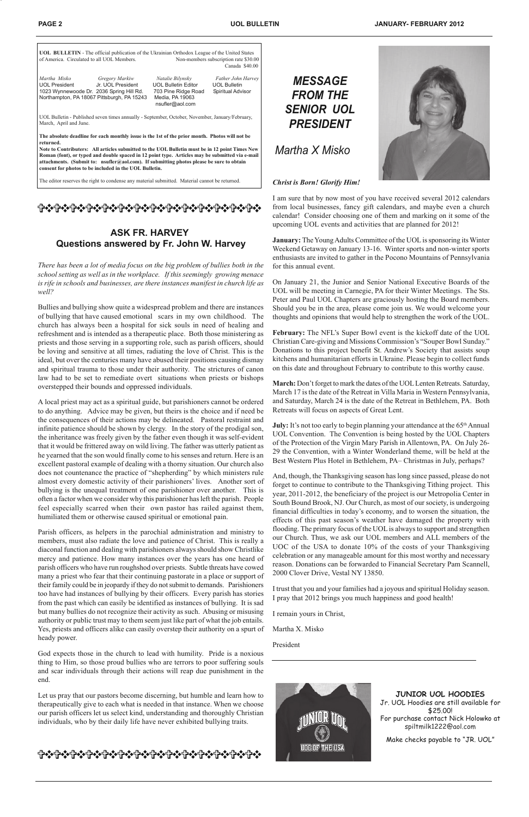| <b>UOL BULLETIN</b> - The official publication of the Ukrainian Orthodox League of the United States<br>of America. Circulated to all UOL Members.                                                            | Non-members subscription rate \$30.00<br>Canada \$40.00                                                     |                                                                |  |  |  |  |  |
|---------------------------------------------------------------------------------------------------------------------------------------------------------------------------------------------------------------|-------------------------------------------------------------------------------------------------------------|----------------------------------------------------------------|--|--|--|--|--|
| Martha Misko<br>Gregory Markiw<br>Jr. UOL President<br>UOL President<br>1023 Wynnewoode Dr. 2036 Spring Hill Rd.<br>Northampton, PA 18067 Pittsburgh, PA 15243                                                | Natalie Bilynsky<br><b>UOL Bulletin Editor</b><br>703 Pine Ridge Road<br>Media, PA 19063<br>nsufler@aol.com | Father John Harvey<br><b>UOL Bulletin</b><br>Spiritual Advisor |  |  |  |  |  |
| UOL Bulletin - Published seven times annually - September, October, November, January/February,<br>March, April and June.                                                                                     |                                                                                                             |                                                                |  |  |  |  |  |
| The absolute deadline for each monthly issue is the 1st of the prior month. Photos will not be<br>returned.<br>Note to Contributers: All articles submitted to the UOL Bulletin must be in 12 point Times New |                                                                                                             |                                                                |  |  |  |  |  |

**Roman (font), or typed and double spaced in 12 point type. Articles may be submitted via e-mail attachments. (Submit to: nsufler@aol.com). If submitting photos please be sure to obtain**

**consent for photos to be included in the UOL Bulletin.**

The editor reserves the right to condense any material submitted. Material cannot be returned.

*Martha X Misko*



# *MESSAGE FROM THE SENIOR UOL PRESIDENT*

==============

### **ASK FR. HARVEY Questions answered by Fr. John W. Harvey**

*Christ is Born! Glorify Him!*

I am sure that by now most of you have received several 2012 calendars from local businesses, fancy gift calendars, and maybe even a church calendar! Consider choosing one of them and marking on it some of the upcoming UOL events and activities that are planned for 2012!

**July:** It's not too early to begin planning your attendance at the 65<sup>th</sup> Annual UOL Convention. The Convention is being hosted by the UOL Chapters of the Protection of the Virgin Mary Parish in Allentown, PA. On July 26- 29 the Convention, with a Winter Wonderland theme, will be held at the Best Western Plus Hotel in Bethlehem, PA– Christmas in July, perhaps?

**January:** The Young Adults Committee of the UOL is sponsoring its Winter Weekend Getaway on January 13-16. Winter sports and non-winter sports enthusiasts are invited to gather in the Pocono Mountains of Pennsylvania for this annual event.

On January 21, the Junior and Senior National Executive Boards of the UOL will be meeting in Carnegie, PA for their Winter Meetings. The Sts. Peter and Paul UOL Chapters are graciously hosting the Board members. Should you be in the area, please come join us. We would welcome your thoughts and opinions that would help to strengthen the work of the UOL.

**February:** The NFL's Super Bowl event is the kickoff date of the UOL Christian Care-giving and Missions Commission's "Souper Bowl Sunday." Donations to this project benefit St. Andrew's Society that assists soup kitchens and humanitarian efforts in Ukraine. Please begin to collect funds on this date and throughout February to contribute to this worthy cause.

**March:** Don't forget to mark the dates of the UOL Lenten Retreats. Saturday, March 17 is the date of the Retreat in Villa Maria in Western Pennsylvania, and Saturday, March 24 is the date of the Retreat in Bethlehem, PA. Both Retreats will focus on aspects of Great Lent.

And, though, the Thanksgiving season has long since passed, please do not forget to continue to contribute to the Thanksgiving Tithing project. This year, 2011-2012, the beneficiary of the project is our Metropolia Center in South Bound Brook, NJ. Our Church, as most of our society, is undergoing financial difficulties in today's economy, and to worsen the situation, the effects of this past season's weather have damaged the property with flooding. The primary focus of the UOL is always to support and strengthen our Church. Thus, we ask our UOL members and ALL members of the UOC of the USA to donate 10% of the costs of your Thanksgiving celebration or any manageable amount for this most worthy and necessary reason. Donations can be forwarded to Financial Secretary Pam Scannell, 2000 Clover Drive, Vestal NY 13850.

I trust that you and your families had a joyous and spiritual Holiday season. I pray that 2012 brings you much happiness and good health!

I remain yours in Christ,

Martha X. Misko

President



*There has been a lot of media focus on the big problem of bullies both in the school setting as well as in the workplace. If this seemingly growing menace is rife in schools and businesses, are there instances manifest in church life as well?*

Bullies and bullying show quite a widespread problem and there are instances of bullying that have caused emotional scars in my own childhood. The church has always been a hospital for sick souls in need of healing and refreshment and is intended as a therapeutic place. Both those ministering as priests and those serving in a supporting role, such as parish officers, should be loving and sensitive at all times, radiating the love of Christ. This is the ideal, but over the centuries many have abused their positions causing dismay and spiritual trauma to those under their authority. The strictures of canon law had to be set to remediate overt situations when priests or bishops overstepped their bounds and oppressed individuals.

A local priest may act as a spiritual guide, but parishioners cannot be ordered to do anything. Advice may be given, but theirs is the choice and if need be the consequences of their actions may be delineated. Pastoral restraint and infinite patience should be shown by clergy. In the story of the prodigal son, the inheritance was freely given by the father even though it was self-evident that it would be frittered away on wild living. The father was utterly patient as he yearned that the son would finally come to his senses and return. Here is an excellent pastoral example of dealing with a thorny situation. Our church also does not countenance the practice of "shepherding" by which ministers rule almost every domestic activity of their parishioners' lives. Another sort of bullying is the unequal treatment of one parishioner over another. This is often a factor when we consider why this parishioner has left the parish. People feel especially scarred when their own pastor has railed against them, humiliated them or otherwise caused spiritual or emotional pain.

Parish officers, as helpers in the parochial administration and ministry to members, must also radiate the love and patience of Christ. This is really a diaconal function and dealing with parishioners always should show Christlike mercy and patience. How many instances over the years has one heard of parish officers who have run roughshod over priests. Subtle threats have cowed many a priest who fear that their continuing pastorate in a place or support of their family could be in jeopardy if they do not submit to demands. Parishioners too have had instances of bullying by their officers. Every parish has stories from the past which can easily be identified as instances of bullying. It is sad but many bullies do not recognize their activity as such. Abusing or misusing authority or public trust may to them seem just like part of what the job entails. Yes, priests and officers alike can easily overstep their authority on a spurt of heady power.

God expects those in the church to lead with humility. Pride is a noxious thing to Him, so those proud bullies who are terrors to poor suffering souls and scar individuals through their actions will reap due punishment in the end.

Let us pray that our pastors become discerning, but humble and learn how to therapeutically give to each what is needed in that instance. When we choose our parish officers let us select kind, understanding and thoroughly Christian individuals, who by their daily life have never exhibited bullying traits.

## ቝቝቝቝቝቝቝቝቝቝቝቝቝ<u>ቝቝቝቝቝቝቝቝቝቝቝቝቝቝቝቝቝቝቝቝ</u>

#### **JUNIOR UOL HOODIES**

Jr. UOL Hoodies are still available for \$25.00! For purchase contact Nick Holowko at spiltmilk1222@aol.com

Make checks payable to "JR. UOL"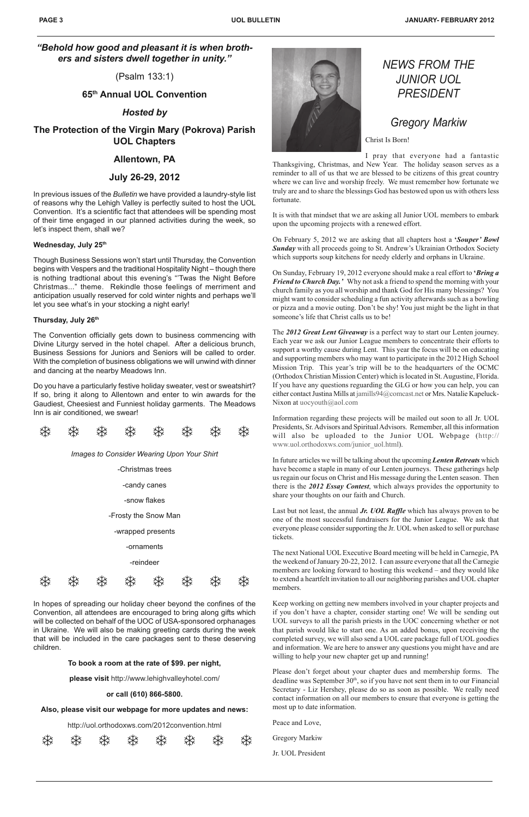# *NEWS FROM THE JUNIOR UOL PRESIDENT*

# *Gregory Markiw*

Christ Is Born!

I pray that everyone had a fantastic

Thanksgiving, Christmas, and New Year. The holiday season serves as a reminder to all of us that we are blessed to be citizens of this great country where we can live and worship freely. We must remember how fortunate we truly are and to share the blessings God has bestowed upon us with others less fortunate.

It is with that mindset that we are asking all Junior UOL members to embark upon the upcoming projects with a renewed effort.

The *2012 Great Lent Giveaway* is a perfect way to start our Lenten journey. Each year we ask our Junior League members to concentrate their efforts to support a worthy cause during Lent. This year the focus will be on educating and supporting members who may want to participate in the 2012 High School Mission Trip. This year's trip will be to the headquarters of the OCMC (Orthodox Christian Mission Center) which is located in St. Augustine, Florida. If you have any questions reguarding the GLG or how you can help, you can either contact Justina Mills at jamills94@comcast.net or Mrs. Natalie Kapeluck-Nixon at uocyouth@aol.com

On February 5, 2012 we are asking that all chapters host a **'***Souper' Bowl Sunday* with all proceeds going to St. Andrew's Ukrainian Orthodox Society which supports soup kitchens for needy elderly and orphans in Ukraine.

On Sunday, February 19, 2012 everyone should make a real effort to **'***Bring a Friend to Church Day.'* Why not ask a friend to spend the morning with your church family as you all worship and thank God for His many blessings? You might want to consider scheduling a fun activity afterwards such as a bowling or pizza and a movie outing. Don't be shy! You just might be the light in that someone's life that Christ calls us to be!

Information regarding these projects will be mailed out soon to all Jr. UOL Presidents, Sr. Advisors and Spiritual Advisors. Remember, all this information will also be uploaded to the Junior UOL Webpage (http:// www.uol.orthodoxws.com/junior\_uol.html).

In future articles we will be talking about the upcoming *Lenten Retreats* which have become a staple in many of our Lenten journeys. These gatherings help us regain our focus on Christ and His message during the Lenten season. Then there is the *2012 Essay Contest*, which always provides the opportunity to share your thoughts on our faith and Church.

Last but not least, the annual *Jr. UOL Raffle* which has always proven to be one of the most successful fundraisers for the Junior League. We ask that everyone please consider supporting the Jr. UOL when asked to sell or purchase tickets.

The next National UOL Executive Board meeting will be held in Carnegie, PA the weekend of January 20-22, 2012. I can assure everyone that all the Carnegie members are looking forward to hosting this weekend – and they would like to extend a heartfelt invitation to all our neighboring parishes and UOL chapter members.

Keep working on getting new members involved in your chapter projects and if you don't have a chapter, consider starting one! We will be sending out UOL surveys to all the parish priests in the UOC concerning whether or not that parish would like to start one. As an added bonus, upon receiving the completed survey, we will also send a UOL care package full of UOL goodies and information. We are here to answer any questions you might have and are willing to help your new chapter get up and running!

Please don't forget about your chapter dues and membership forms. The deadline was September  $30<sup>th</sup>$ , so if you have not sent them in to our Financial Secretary - Liz Hershey, please do so as soon as possible. We really need contact information on all our members to ensure that everyone is getting the most up to date information.

Peace and Love,

Gregory Markiw

Jr. UOL President

*"Behold how good and pleasant it is when brothers and sisters dwell together in unity."*

(Psalm 133:1)

**65th Annual UOL Convention**

### *Hosted by*

**The Protection of the Virgin Mary (Pokrova) Parish UOL Chapters**

### **Allentown, PA**

### **July 26-29, 2012**

In previous issues of the *Bulletin* we have provided a laundry-style list of reasons why the Lehigh Valley is perfectly suited to host the UOL Convention. It's a scientific fact that attendees will be spending most of their time engaged in our planned activities during the week, so let's inspect them, shall we?

### **Wednesday, July 25th**

Though Business Sessions won't start until Thursday, the Convention begins with Vespers and the traditional Hospitality Night – though there is nothing tradtional about this evening's "'Twas the Night Before Christmas..." theme. Rekindle those feelings of merriment and anticipation usually reserved for cold winter nights and perhaps we'll let you see what's in your stocking a night early!

### **Thursday, July 26th**

The Convention officially gets down to business commencing with Divine Liturgy served in the hotel chapel. After a delicious brunch, Business Sessions for Juniors and Seniors will be called to order. With the completion of business obligations we will unwind with dinner and dancing at the nearby Meadows Inn.

Do you have a particularly festive holiday sweater, vest or sweatshirt? If so, bring it along to Allentown and enter to win awards for the Gaudiest, Cheesiest and Funniest holiday garments. The Meadows Inn is air conditioned, we swear!





In hopes of spreading our holiday cheer beyond the confines of the Convention, all attendees are encouraged to bring along gifts which will be collected on behalf of the UOC of USA-sponsored orphanages in Ukraine. We will also be making greeting cards during the week that will be included in the care packages sent to these deserving children.

#### **To book a room at the rate of \$99. per night,**

**please visit** http://www.lehighvalleyhotel.com/

#### **or call (610) 866-5800.**

#### **Also, please visit our webpage for more updates and news:**

http://uol.orthodoxws.com/2012convention.html

|  |  | ※ ※ ※ ※ ※ ※ ※ ※ |  |  |
|--|--|-----------------|--|--|
|  |  |                 |  |  |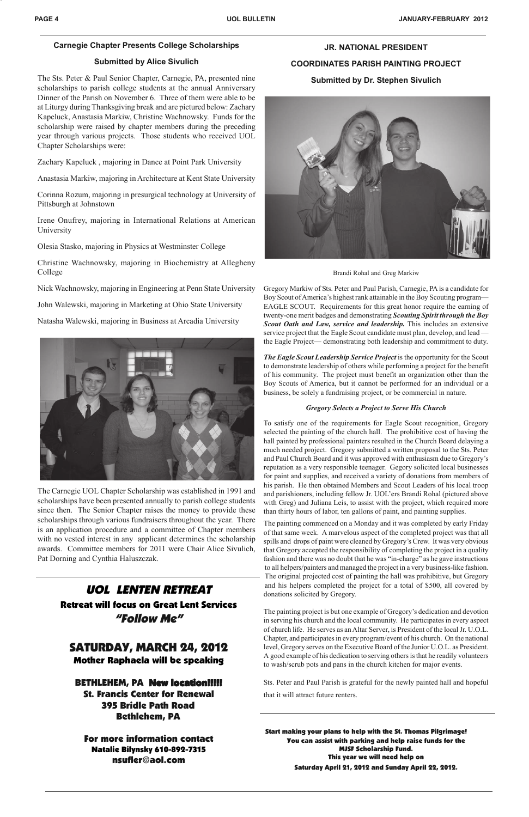### **Carnegie Chapter Presents College Scholarships**

### **Submitted by Alice Sivulich**

The Sts. Peter & Paul Senior Chapter, Carnegie, PA, presented nine scholarships to parish college students at the annual Anniversary Dinner of the Parish on November 6. Three of them were able to be at Liturgy during Thanksgiving break and are pictured below: Zachary Kapeluck, Anastasia Markiw, Christine Wachnowsky. Funds for the scholarship were raised by chapter members during the preceding year through various projects. Those students who received UOL Chapter Scholarships were:

Zachary Kapeluck , majoring in Dance at Point Park University

Anastasia Markiw, majoring in Architecture at Kent State University

Corinna Rozum, majoring in presurgical technology at University of Pittsburgh at Johnstown

Irene Onufrey, majoring in International Relations at American University

Olesia Stasko, majoring in Physics at Westminster College

Christine Wachnowsky, majoring in Biochemistry at Allegheny College

Nick Wachnowsky, majoring in Engineering at Penn State University

John Walewski, majoring in Marketing at Ohio State University

Natasha Walewski, majoring in Business at Arcadia University



The Carnegie UOL Chapter Scholarship was established in 1991 and scholarships have been presented annually to parish college students since then. The Senior Chapter raises the money to provide these scholarships through various fundraisers throughout the year. There is an application procedure and a committee of Chapter members with no vested interest in any applicant determines the scholarship awards. Committee members for 2011 were Chair Alice Sivulich, Pat Dorning and Cynthia Haluszczak.

# **JR. NATIONAL PRESIDENT COORDINATES PARISH PAINTING PROJECT**

### **Submitted by Dr. Stephen Sivulich**



Brandi Rohal and Greg Markiw

Gregory Markiw of Sts. Peter and Paul Parish, Carnegie, PA is a candidate for Boy Scout of America's highest rank attainable in the Boy Scouting program— EAGLE SCOUT. Requirements for this great honor require the earning of twenty-one merit badges and demonstrating *Scouting Spirit through the Boy Scout Oath and Law, service and leadership.* This includes an extensive service project that the Eagle Scout candidate must plan, develop, and lead the Eagle Project— demonstrating both leadership and commitment to duty.

*The Eagle Scout Leadership Service Project* is the opportunity for the Scout to demonstrate leadership of others while performing a project for the benefit of his community. The project must benefit an organization other than the Boy Scouts of America, but it cannot be performed for an individual or a business, be solely a fundraising project, or be commercial in nature.

### *Gregory Selects a Project to Serve His Church*

To satisfy one of the requirements for Eagle Scout recognition, Gregory selected the painting of the church hall. The prohibitive cost of having the hall painted by professional painters resulted in the Church Board delaying a much needed project. Gregory submitted a written proposal to the Sts. Peter and Paul Church Board and it was approved with enthusiasm due to Gregory's reputation as a very responsible teenager. Gegory solicited local businesses for paint and supplies, and received a variety of donations from members of his parish. He then obtained Members and Scout Leaders of his local troop and parishioners, including fellow Jr. UOL'ers Brandi Rohal (pictured above with Greg) and Juliana Leis, to assist with the project, which required more than thirty hours of labor, ten gallons of paint, and painting supplies.

The painting commenced on a Monday and it was completed by early Friday of that same week. A marvelous aspect of the completed project was that all spills and drops of paint were cleaned by Gregory's Crew. It was very obvious that Gregory accepted the responsibility of completing the project in a quality fashion and there was no doubt that he was "in-charge" as he gave instructions to all helpers/painters and managed the project in a very business-like fashion. The original projected cost of painting the hall was prohibitive, but Gregory and his helpers completed the project for a total of \$500, all covered by donations solicited by Gregory.

The painting project is but one example of Gregory's dedication and devotion in serving his church and the local community. He participates in every aspect of church life. He serves as an Altar Server, is President of the local Jr. U.O.L. Chapter, and participates in every program/event of his church. On the national level, Gregory serves on the Executive Board of the Junior U.O.L. as President. A good example of his dedication to serving others is that he readily volunteers to wash/scrub pots and pans in the church kitchen for major events.

Sts. Peter and Paul Parish is grateful for the newly painted hall and hopeful that it will attract future renters.

Start making your plans to help with the St. Thomas Pilgrimage! You can assist with parking and help raise funds for the MJSF Scholarship Fund. This year we will need help on Saturday April 21, 2012 and Sunday April 22, 2012.

# UOL LENTEN RETREAT

## Retreat will focus on Great Lent Services "Follow Me"

# SATURDAY, MARCH 24, 2012 Mother Raphaela will be speaking

### BETHLEHEM, PA New location!!!!! St. Francis Center for Renewal 395 Bridle Path Road Bethlehem, PA

For more information contact Natalie Bilynsky 610-892-7315 nsufler@aol.com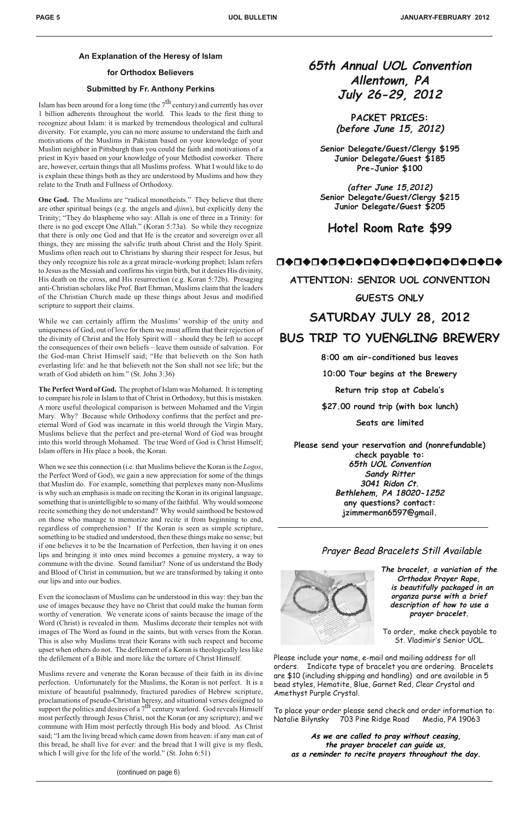### **An Explanation of the Heresy of Islam**

### **for Orthodox Believers**

### **Submitted by Fr. Anthony Perkins**

Islam has been around for a long time (the  $7<sup>th</sup>$  century) and currently has over 1 billion adherents throughout the world. This leads to the first thing to recognize about Islam: it is marked by tremendous theological and cultural diversity. For example, you can no more assume to understand the faith and motivations of the Muslims in Pakistan based on your knowledge of your Muslim neighbor in Pittsburgh than you could the faith and motivations of a priest in Kyiv based on your knowledge of your Methodist coworker. There are, however, certain things that all Muslims profess. What I would like to do is explain these things both as they are understood by Muslims and how they relate to the Truth and Fullness of Orthodoxy.

**One God.** The Muslims are "radical monotheists." They believe that there are other spiritual beings (e.g. the angels and *djinn*), but explicitly deny the Trinity; "They do blaspheme who say: Allah is one of three in a Trinity: for there is no god except One Allah." (Koran 5:73a). So while they recognize that there is only one God and that He is the creator and sovereign over all things, they are missing the salvific truth about Christ and the Holy Spirit. Muslims often reach out to Christians by sharing their respect for Jesus, but they only recognize his role as a great miracle-working prophet; Islam refers to Jesus as the Messiah and confirms his virgin birth, but it denies His divinity, His death on the cross, and His resurrection (e.g. Koran 5:72b). Presaging anti-Christian scholars like Prof. Bart Ehrman, Muslims claim that the leaders of the Christian Church made up these things about Jesus and modified scripture to support their claims.

While we can certainly affirm the Muslims' worship of the unity and uniqueness of God, out of love for them we must affirm that their rejection of the divinity of Christ and the Holy Spirit will – should they be left to accept the consequences of their own beliefs – leave them outside of salvation. For the God-man Christ Himself said; "He that believeth on the Son hath everlasting life: and he that believeth not the Son shall not see life; but the wrath of God abideth on him." (St. John 3:36)

Muslims revere and venerate the Koran because of their faith in its divine perfection. Unfortunately for the Muslims, the Koran is not perfect. It is a mixture of beautiful psalmnody, fractured parodies of Hebrew scripture, proclamations of pseudo-Christian heresy, and situational verses designed to support the politics and desires of a  $7<sup>th</sup>$  century warlord. God reveals Himself most perfectly through Jesus Christ, not the Koran (or any scripture); and we commune with Him most perfectly through His body and blood. As Christ said; "I am the living bread which came down from heaven: if any man eat of this bread, he shall live for ever: and the bread that I will give is my flesh, which I will give for the life of the world." (St. John 6:51)

**The Perfect Word of God.** The prophet of Islam was Mohamed. It is tempting to compare his role in Islam to that of Christ in Orthodoxy, but this is mistaken. A more useful theological comparison is between Mohamed and the Virgin Mary. Why? Because while Orthodoxy confirms that the perfect and preeternal Word of God was incarnate in this world through the Virgin Mary, Muslims believe that the perfect and pre-eternal Word of God was brought into this world through Mohamed. The true Word of God is Christ Himself; Islam offers in His place a book, the Koran.

When we see this connection (i.e. that Muslims believe the Koran is the *Logos*, the Perfect Word of God), we gain a new appreciation for some of the things that Muslim do. For example, something that perplexes many non-Muslims is why such an emphasis is made on reciting the Koran in its original language, something that is unintelligible to so many of the faithful. Why would someone recite something they do not understand? Why would sainthood be bestowed on those who manage to memorize and recite it from beginning to end, regardless of comprehension? If the Koran is seen as simple scripture, something to be studied and understood, then these things make no sense; but if one believes it to be the Incarnation of Perfection, then having it on ones lips and bringing it into ones mind becomes a genuine mystery, a way to commune with the divine. Sound familiar? None of us understand the Body and Blood of Christ in communion, but we are transformed by taking it onto our lips and into our bodies.

Even the iconoclasm of Muslims can be understood in this way: they ban the

use of images because they have no Christ that could make the human form worthy of veneration. We venerate icons of saints because the image of the Word (Christ) is revealed in them. Muslims decorate their temples not with images of The Word as found in the saints, but with verses from the Koran. This is also why Muslims treat their Korans with such respect and become upset when others do not. The defilement of a Koran is theologically less like the defilement of a Bible and more like the torture of Christ Himself.

**65th Annual UOL Convention Allentown, PA July 26-29, 2012**

> **PACKET PRICES: (before June 15, 2012)**

**Senior Delegate/Guest/Clergy \$195 Junior Delegate/Guest \$185 Pre-Junior \$100**

**(after June 15,2012) Senior Delegate/Guest/Clergy \$215 Junior Delegate/Guest \$205**

**Hotel Room Rate \$99**

# □◆□◆□◆□◆□◆□◆□◆□◆□◆□◆□◆□◆□◆□◆□◆

**ATTENTION: SENIOR UOL CONVENTION**

**GUESTS ONLY**

# **SATURDAY JULY 28, 2012**

# **BUS TRIP TO YUENGLING BREWERY**

**8:00 am air-conditioned bus leaves**

**10:00 Tour begins at the Brewery**

**Return trip stop at Cabela's**

**\$27.00 round trip (with box lunch)**

**Seats are limited**

**Please send your reservation and (nonrefundable) check payable to: 65th UOL Convention Sandy Ritter 3041 Ridon Ct. Bethlehem, PA 18020-1252 any questions? contact: jzimmerman6597@gmail.**

# Prayer Bead Bracelets Still Available



**The bracelet, a variation of the Orthodox Prayer Rope, is beautifully packaged in an organza purse with a brief**

**description of how to use a prayer bracelet.**

To order, make check payable to St. Vladimir's Senior UOL.

Please include your name, e-mail and mailing address for all orders. Indicate type of bracelet you are ordering. Bracelets are \$10 (including shipping and handling) and are available in 5 bead styles, Hematite, Blue, Garnet Red, Clear Crystal and Amethyst Purple Crystal.

To place your order please send check and order information to: Natalie Bilynsky 703 Pine Ridge Road Media, PA 19063

**As we are called to pray without ceasing, the prayer bracelet can guide us, as a reminder to recite prayers throughout the day.**

(continued on page 6)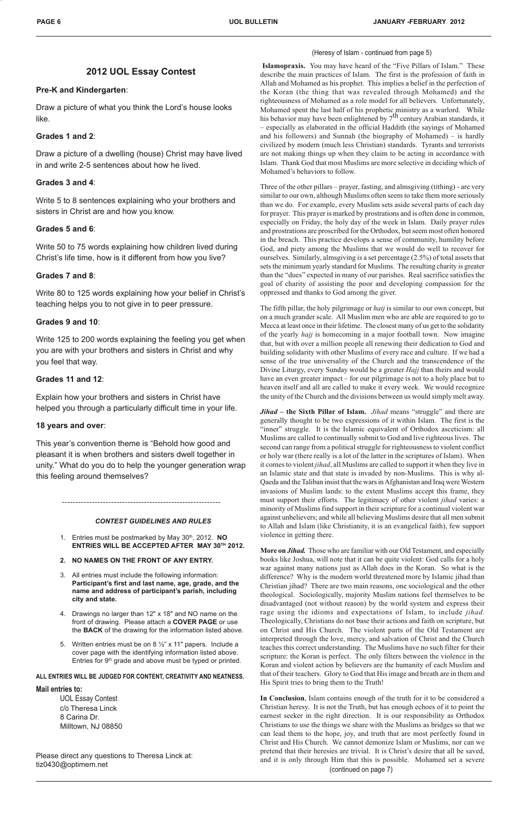### **2012 UOL Essay Contest**

### **Pre-K and Kindergarten**:

Draw a picture of what you think the Lord's house looks like.

### **Grades 1 and 2**:

Draw a picture of a dwelling (house) Christ may have lived in and write 2-5 sentences about how he lived.

### **Grades 3 and 4**:

Write 5 to 8 sentences explaining who your brothers and sisters in Christ are and how you know.

### **Grades 5 and 6**:

Write 50 to 75 words explaining how children lived during Christ's life time, how is it different from how you live?

### **Grades 7 and 8**:

Write 80 to 125 words explaining how your belief in Christ's teaching helps you to not give in to peer pressure.

### **Grades 9 and 10**:

Write 125 to 200 words explaining the feeling you get when you are with your brothers and sisters in Christ and why you feel that way.

### **Grades 11 and 12**:

Explain how your brothers and sisters in Christ have helped you through a particularly difficult time in your life.

### **18 years and over**:

This year's convention theme is "Behold how good and pleasant it is when brothers and sisters dwell together in unity." What do you do to help the younger generation wrap this feeling around themselves?

 **Islamopraxis.** You may have heard of the "Five Pillars of Islam." These describe the main practices of Islam. The first is the profession of faith in Allah and Mohamed as his prophet. This implies a belief in the perfection of the Koran (the thing that was revealed through Mohamed) and the righteousness of Mohamed as a role model for all believers. Unfortunately, Mohamed spent the last half of his prophetic ministry as a warlord. While his behavior may have been enlightened by  $7<sup>th</sup>$  century Arabian standards, it – especially as elaborated in the official Haddith (the sayings of Mohamed and his followers) and Sunnah (the biography of Mohamed) – is hardly civilized by modern (much less Christian) standards. Tyrants and terrorists are not making things up when they claim to be acting in accordance with Islam. Thank God that most Muslims are more selective in deciding which of Mohamed's behaviors to follow.

Three of the other pillars – prayer, fasting, and almsgiving (tithing) - are very similar to our own, although Muslims often seem to take them more seriously than we do. For example, every Muslim sets aside several parts of each day for prayer. This prayer is marked by prostrations and is often done in common, especially on Friday, the holy day of the week in Islam. Daily prayer rules and prostrations are proscribed for the Orthodox, but seem most often honored in the breach. This practice develops a sense of community, humility before God, and piety among the Muslims that we would do well to recover for ourselves. Similarly, almsgiving is a set percentage (2.5%) of total assets that sets the minimum yearly standard for Muslims. The resulting charity is greater than the "dues" expected in many of our parishes. Real sacrifice satisfies the goal of charity of assisting the poor and developing compassion for the oppressed and thanks to God among the giver.

The fifth pillar, the holy pilgrimage or *haij* is similar to our own concept, but on a much grander scale. All Muslim men who are able are required to go to Mecca at least once in their lifetime. The closest many of us get to the solidarity of the yearly *hajj* is homecoming in a major football town. Now imagine that, but with over a million people all renewing their dedication to God and building solidarity with other Muslims of every race and culture. If we had a sense of the true universality of the Church and the transcendence of the Divine Liturgy, every Sunday would be a greater *Hajj* than theirs and would have an even greater impact – for our pilgrimage is not to a holy place but to heaven itself and all are called to make it every week. We would recognize the unity of the Church and the divisions between us would simply melt away.

- 4. Drawings no larger than 12" x 18" and NO name on the front of drawing. Please attach a **COVER PAGE** or use the **BACK** of the drawing for the information listed above.
- 5. Written entries must be on 8 ½" x 11" papers. Include a cover page with the identifying information listed above. Entries for 9<sup>th</sup> grade and above must be typed or printed.

*Jihad* **– the Sixth Pillar of Islam.** *Jihad* means "struggle" and there are generally thought to be two expressions of it within Islam. The first is the "inner" struggle. It is the Islamic equivalent of Orthodox asceticism: all Muslims are called to continually submit to God and live righteous lives. The second can range from a political struggle for righteousness to violent conflict or holy war (there really is a lot of the latter in the scriptures of Islam). When it comes to violent *jihad*, all Muslims are called to support it when they live in an Islamic state and that state is invaded by non-Muslims. This is why al-Qaeda and the Taliban insist that the wars in Afghanistan and Iraq were Western invasions of Muslim lands: to the extent Muslims accept this frame, they must support their efforts. The legitimacy of other violent *jihad* varies: a minority of Muslims find support in their scripture for a continual violent war against unbelievers; and while all believing Muslims desire that all men submit to Allah and Islam (like Christianity, it is an evangelical faith), few support violence in getting there.

**More on** *Jihad.* Those who are familiar with our Old Testament, and especially books like Joshua, will note that it can be quite violent: God calls for a holy war against many nations just as Allah does in the Koran. So what is the difference? Why is the modern world threatened more by Islamic jihad than Christian jihad? There are two main reasons, one sociological and the other theological. Sociologically, majority Muslim nations feel themselves to be disadvantaged (not without reason) by the world system and express their rage using the idioms and expectations of Islam, to include *jihad.* Theologically, Christians do not base their actions and faith on scripture, but on Christ and His Church. The violent parts of the Old Testament are interpreted through the love, mercy, and salvation of Christ and the Church teaches this correct understanding. The Muslims have no such filter for their scripture: the Koran is perfect. The only filters between the violence in the Koran and violent action by believers are the humanity of each Muslim and that of their teachers. Glory to God that His image and breath are in them and His Spirit tries to bring them to the Truth!

*CONTEST GUIDELINES AND RULES*

**In Conclusion**, Islam contains enough of the truth for it to be considered a Christian heresy. It is not the Truth, but has enough echoes of it to point the earnest seeker in the right direction. It is our responsibility as Orthodox Christians to use the things we share with the Muslims as bridges so that we can lead them to the hope, joy, and truth that are most perfectly found in Christ and His Church. We cannot demonize Islam or Muslims, nor can we pretend that their heresies are trivial. It is Christ's desire that all be saved, and it is only through Him that this is possible. Mohamed set a severe (continued on page 7)

- 1. Entries must be postmarked by May 30th, 2012. **NO ENTRIES WILL BE ACCEPTED AFTER MAY 30TH 2012.**
- **2. NO NAMES ON THE FRONT OF ANY ENTRY.**
- 3. All entries must include the following information: **Participant's first and last name, age, grade, and the name and address of participant's parish, including city and state.**

#### **ALL ENTRIES WILL BE JUDGED FOR CONTENT, CREATIVITY AND NEATNESS.**

#### **Mail entries to:**

UOL Essay Contest c/o Theresa Linck 8 Carina Dr. Milltown, NJ 08850

Please direct any questions to Theresa Linck at: tiz0430@optimem.net

### (Heresy of Islam - continued from page 5)

----------------------------------------------------------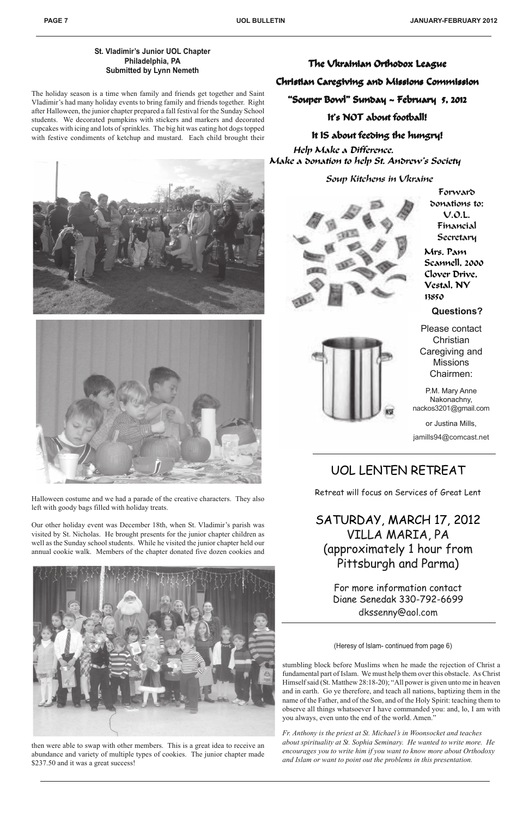The holiday season is a time when family and friends get together and Saint Vladimir's had many holiday events to bring family and friends together. Right after Halloween, the junior chapter prepared a fall festival for the Sunday School students. We decorated pumpkins with stickers and markers and decorated cupcakes with icing and lots of sprinkles. The big hit was eating hot dogs topped with festive condiments of ketchup and mustard. Each child brought their





Halloween costume and we had a parade of the creative characters. They also left with goody bags filled with holiday treats.

It IS about feeding the hungry! Help Make a Difference. Make a donation to help St. Andrew's Society

Our other holiday event was December 18th, when St. Vladimir's parish was visited by St. Nicholas. He brought presents for the junior chapter children as well as the Sunday school students. While he visited the junior chapter held our annual cookie walk. Members of the chapter donated five dozen cookies and



The Vkrainian Orthodox League

then were able to swap with other members. This is a great idea to receive an abundance and variety of multiple types of cookies. The junior chapter made \$237.50 and it was a great success!

### Christian Caregiving and Missions Commission

"Souper Bowl" Sunday ~ February 5, 2012

It's NOT about football!

### Soup Kitchens in Ukraine



Forward donations to: U.O.L. Financial Secretary

Mrs. Pam Scannell, 2000 Clover Drive, Vestal, NY 13850

**Questions?**

Please contact **Christian** Caregiving and Missions Chairmen:

P.M. Mary Anne Nakonachny, nackos3201@gmail.com

or Justina Mills, jamills94@comcast.net

### **St. Vladimir's Junior UOL Chapter Philadelphia, PA Submitted by Lynn Nemeth**

# UOL LENTEN RETREAT

Retreat will focus on Services of Great Lent

SATURDAY, MARCH 17, 2012 VILLA MARIA, PA (approximately 1 hour from Pittsburgh and Parma)

> For more information contact Diane Senedak 330-792-6699 dkssenny@aol.com

stumbling block before Muslims when he made the rejection of Christ a fundamental part of Islam. We must help them over this obstacle. As Christ Himself said (St. Matthew 28:18-20); "All power is given unto me in heaven and in earth. Go ye therefore, and teach all nations, baptizing them in the name of the Father, and of the Son, and of the Holy Spirit: teaching them to observe all things whatsoever I have commanded you: and, lo, I am with you always, even unto the end of the world. Amen."

*Fr. Anthony is the priest at St. Michael's in Woonsocket and teaches about spirituality at St. Sophia Seminary. He wanted to write more. He encourages you to write him if you want to know more about Orthodoxy and Islam or want to point out the problems in this presentation.*

(Heresy of Islam- continued from page 6)